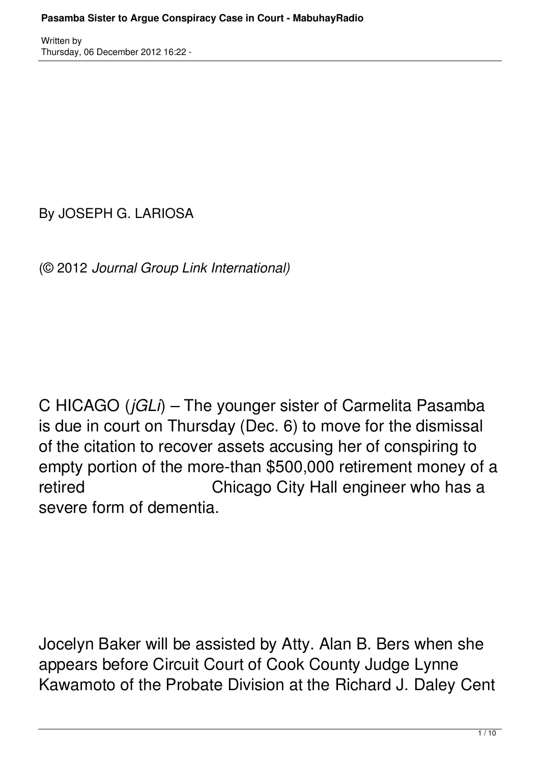By JOSEPH G. LARIOSA

(© 2012 *Journal Group Link International)*

C HICAGO (*jGLi*) – The younger sister of Carmelita Pasamba is due in court on Thursday (Dec. 6) to move for the dismissal of the citation to recover assets accusing her of conspiring to empty portion of the more-than \$500,000 retirement money of a retired Chicago City Hall engineer who has a severe form of dementia.

Jocelyn Baker will be assisted by Atty. Alan B. Bers when she appears before Circuit Court of Cook County Judge Lynne Kawamoto of the Probate Division at the Richard J. Daley Cent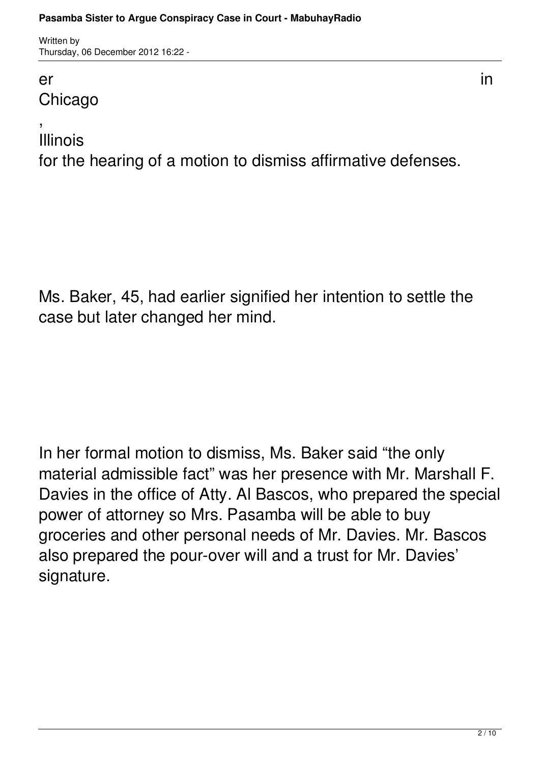#### er in die 19de jaar van die 19de eeu n.C. In die 19de eeu n.C. In die 19de eeu n.C. In die 19de eeu n.C. In 1 **Chicago**

, Illinois

for the hearing of a motion to dismiss affirmative defenses.

Ms. Baker, 45, had earlier signified her intention to settle the case but later changed her mind.

In her formal motion to dismiss, Ms. Baker said "the only material admissible fact" was her presence with Mr. Marshall F. Davies in the office of Atty. Al Bascos, who prepared the special power of attorney so Mrs. Pasamba will be able to buy groceries and other personal needs of Mr. Davies. Mr. Bascos also prepared the pour-over will and a trust for Mr. Davies' signature.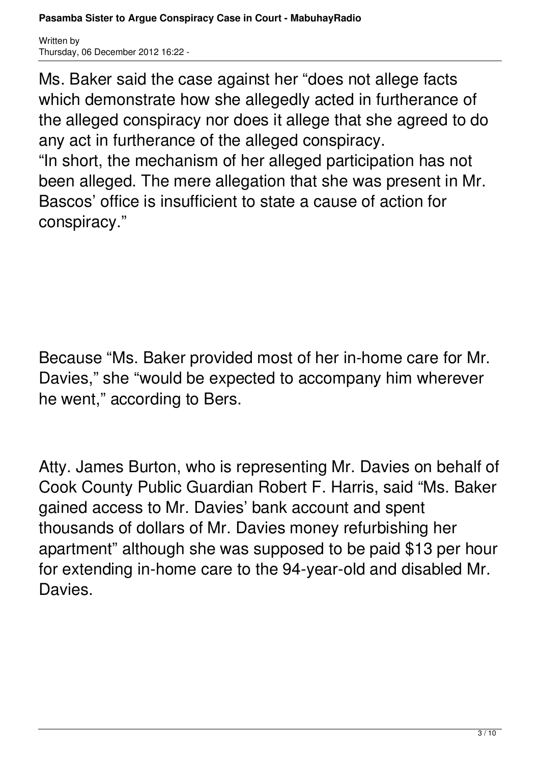conspiracy."

Ms. Baker said the case against her "does not allege facts which demonstrate how she allegedly acted in furtherance of the alleged conspiracy nor does it allege that she agreed to do any act in furtherance of the alleged conspiracy. "In short, the mechanism of her alleged participation has not been alleged. The mere allegation that she was present in Mr. Bascos' office is insufficient to state a cause of action for

Because "Ms. Baker provided most of her in-home care for Mr. Davies," she "would be expected to accompany him wherever he went," according to Bers.

Atty. James Burton, who is representing Mr. Davies on behalf of Cook County Public Guardian Robert F. Harris, said "Ms. Baker gained access to Mr. Davies' bank account and spent thousands of dollars of Mr. Davies money refurbishing her apartment" although she was supposed to be paid \$13 per hour for extending in-home care to the 94-year-old and disabled Mr. Davies.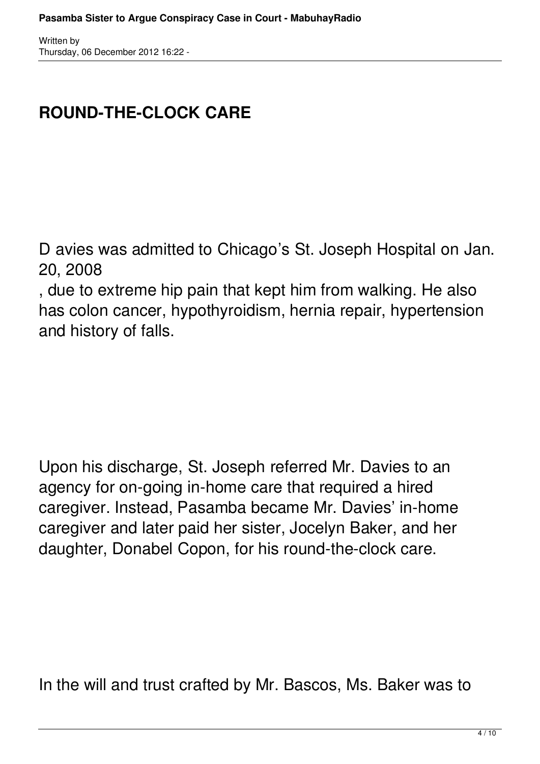# **ROUND-THE-CLOCK CARE**

D avies was admitted to Chicago's St. Joseph Hospital on Jan. 20, 2008

, due to extreme hip pain that kept him from walking. He also has colon cancer, hypothyroidism, hernia repair, hypertension and history of falls.

Upon his discharge, St. Joseph referred Mr. Davies to an agency for on-going in-home care that required a hired caregiver. Instead, Pasamba became Mr. Davies' in-home caregiver and later paid her sister, Jocelyn Baker, and her daughter, Donabel Copon, for his round-the-clock care.

In the will and trust crafted by Mr. Bascos, Ms. Baker was to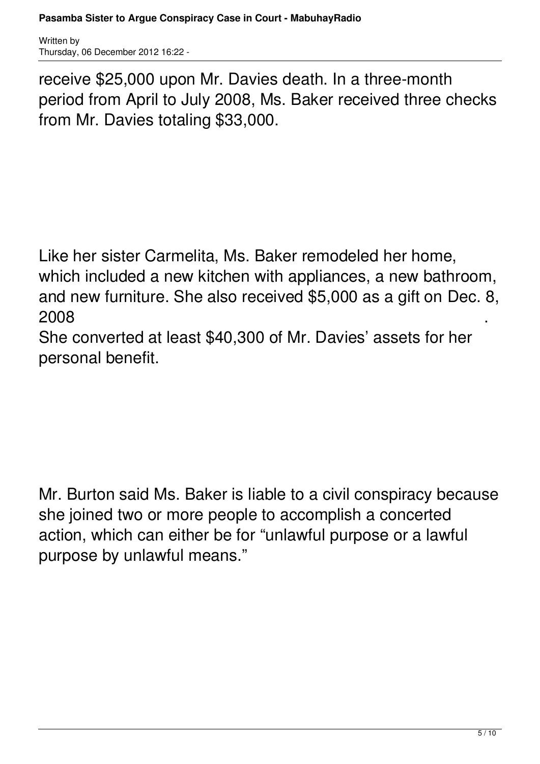receive \$25,000 upon Mr. Davies death. In a three-month period from April to July 2008, Ms. Baker received three checks from Mr. Davies totaling \$33,000.

Like her sister Carmelita, Ms. Baker remodeled her home, which included a new kitchen with appliances, a new bathroom, and new furniture. She also received \$5,000 as a gift on Dec. 8,  $2008$  . The contract of the contract of the contract of the contract of the contract of the contract of the contract of the contract of the contract of the contract of the contract of the contract of the contract of the

She converted at least \$40,300 of Mr. Davies' assets for her personal benefit.

Mr. Burton said Ms. Baker is liable to a civil conspiracy because she joined two or more people to accomplish a concerted action, which can either be for "unlawful purpose or a lawful purpose by unlawful means."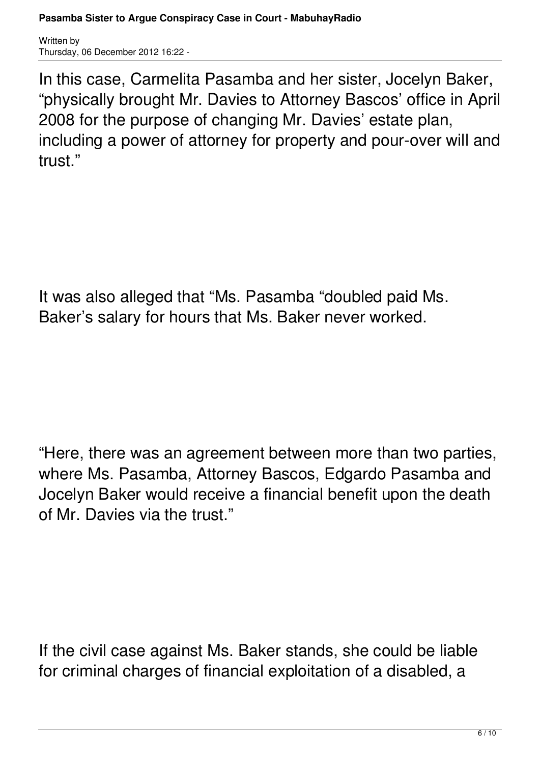In this case, Carmelita Pasamba and her sister, Jocelyn Baker, "physically brought Mr. Davies to Attorney Bascos' office in April 2008 for the purpose of changing Mr. Davies' estate plan, including a power of attorney for property and pour-over will and trust."

It was also alleged that "Ms. Pasamba "doubled paid Ms. Baker's salary for hours that Ms. Baker never worked.

"Here, there was an agreement between more than two parties, where Ms. Pasamba, Attorney Bascos, Edgardo Pasamba and Jocelyn Baker would receive a financial benefit upon the death of Mr. Davies via the trust."

If the civil case against Ms. Baker stands, she could be liable for criminal charges of financial exploitation of a disabled, a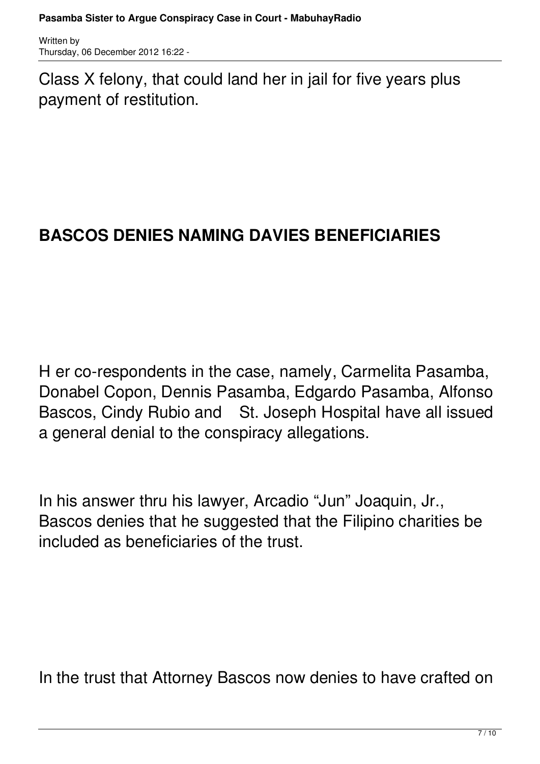Class X felony, that could land her in jail for five years plus payment of restitution.

# **BASCOS DENIES NAMING DAVIES BENEFICIARIES**

H er co-respondents in the case, namely, Carmelita Pasamba, Donabel Copon, Dennis Pasamba, Edgardo Pasamba, Alfonso Bascos, Cindy Rubio and St. Joseph Hospital have all issued a general denial to the conspiracy allegations.

In his answer thru his lawyer, Arcadio "Jun" Joaquin, Jr., Bascos denies that he suggested that the Filipino charities be included as beneficiaries of the trust.

In the trust that Attorney Bascos now denies to have crafted on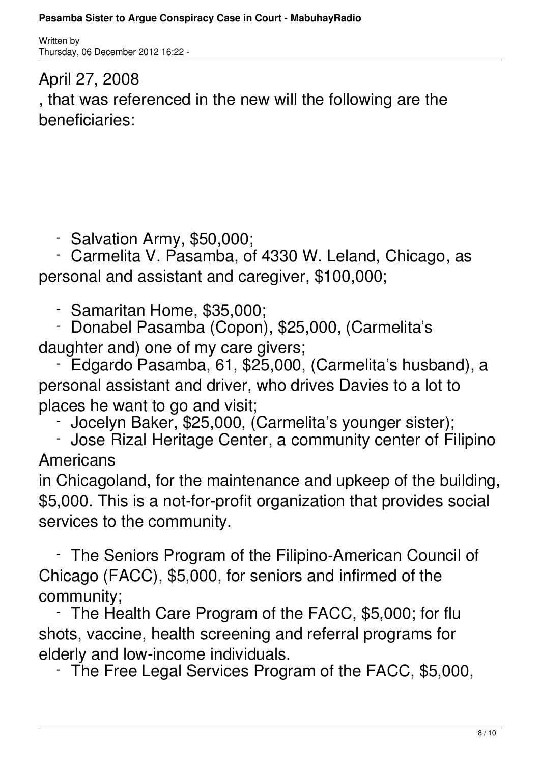# April 27, 2008 , that was referenced in the new will the following are the beneficiaries:

- Salvation Army, \$50,000;

 - Carmelita V. Pasamba, of 4330 W. Leland, Chicago, as personal and assistant and caregiver, \$100,000;

- Samaritan Home, \$35,000;
- Donabel Pasamba (Copon), \$25,000, (Carmelita's daughter and) one of my care givers;

 - Edgardo Pasamba, 61, \$25,000, (Carmelita's husband), a personal assistant and driver, who drives Davies to a lot to places he want to go and visit;

- Jocelyn Baker, \$25,000, (Carmelita's younger sister);

 - Jose Rizal Heritage Center, a community center of Filipino Americans

in Chicagoland, for the maintenance and upkeep of the building, \$5,000. This is a not-for-profit organization that provides social services to the community.

 - The Seniors Program of the Filipino-American Council of Chicago (FACC), \$5,000, for seniors and infirmed of the community;

The Health Care Program of the FACC, \$5,000; for flu shots, vaccine, health screening and referral programs for elderly and low-income individuals.

- The Free Legal Services Program of the FACC, \$5,000,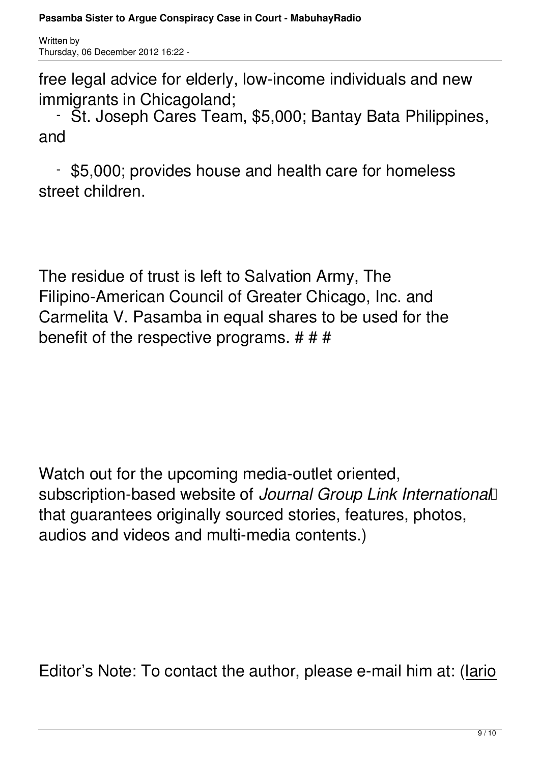free legal advice for elderly, low-income individuals and new immigrants in Chicagoland;

 - St. Joseph Cares Team, \$5,000; Bantay Bata Philippines, and

 - \$5,000; provides house and health care for homeless street children.

The residue of trust is left to Salvation Army, The Filipino-American Council of Greater Chicago, Inc. and Carmelita V. Pasamba in equal shares to be used for the benefit of the respective programs.  $# # #$ 

Watch out for the upcoming media-outlet oriented, subscription-based website of *Journal Group Link International*  that guarantees originally sourced stories, features, photos, audios and videos and multi-media contents.)

Editor's Note: To contact the author, please e-mail him at: (lario